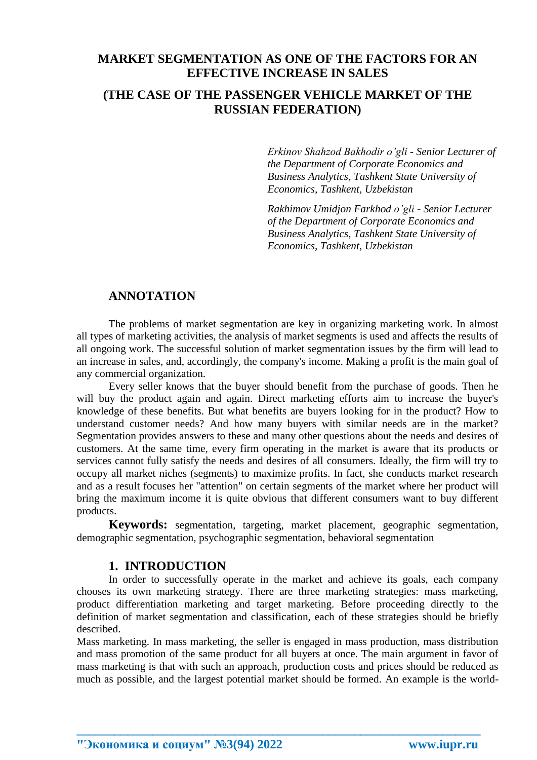## **MARKET SEGMENTATION AS ONE OF THE FACTORS FOR AN EFFECTIVE INCREASE IN SALES**

## **(THE CASE OF THE PASSENGER VEHICLE MARKET OF THE RUSSIAN FEDERATION)**

*Erkinov Shahzod Bakhodir o'gli - Senior Lecturer of the Department of Corporate Economics and Business Analytics, Tashkent State University of Economics, Tashkent, Uzbekistan*

*Rakhimov Umidjon Farkhod o'gli - Senior Lecturer of the Department of Corporate Economics and Business Analytics, Tashkent State University of Economics, Tashkent, Uzbekistan*

#### **ANNOTATION**

The problems of market segmentation are key in organizing marketing work. In almost all types of marketing activities, the analysis of market segments is used and affects the results of all ongoing work. The successful solution of market segmentation issues by the firm will lead to an increase in sales, and, accordingly, the company's income. Making a profit is the main goal of any commercial organization.

Every seller knows that the buyer should benefit from the purchase of goods. Then he will buy the product again and again. Direct marketing efforts aim to increase the buyer's knowledge of these benefits. But what benefits are buyers looking for in the product? How to understand customer needs? And how many buyers with similar needs are in the market? Segmentation provides answers to these and many other questions about the needs and desires of customers. At the same time, every firm operating in the market is aware that its products or services cannot fully satisfy the needs and desires of all consumers. Ideally, the firm will try to occupy all market niches (segments) to maximize profits. In fact, she conducts market research and as a result focuses her "attention" on certain segments of the market where her product will bring the maximum income it is quite obvious that different consumers want to buy different products.

**Keywords:** segmentation, targeting, market placement, geographic segmentation, demographic segmentation, psychographic segmentation, behavioral segmentation

#### **1. INTRODUCTION**

In order to successfully operate in the market and achieve its goals, each company chooses its own marketing strategy. There are three marketing strategies: mass marketing, product differentiation marketing and target marketing. Before proceeding directly to the definition of market segmentation and classification, each of these strategies should be briefly described.

Mass marketing. In mass marketing, the seller is engaged in mass production, mass distribution and mass promotion of the same product for all buyers at once. The main argument in favor of mass marketing is that with such an approach, production costs and prices should be reduced as much as possible, and the largest potential market should be formed. An example is the world-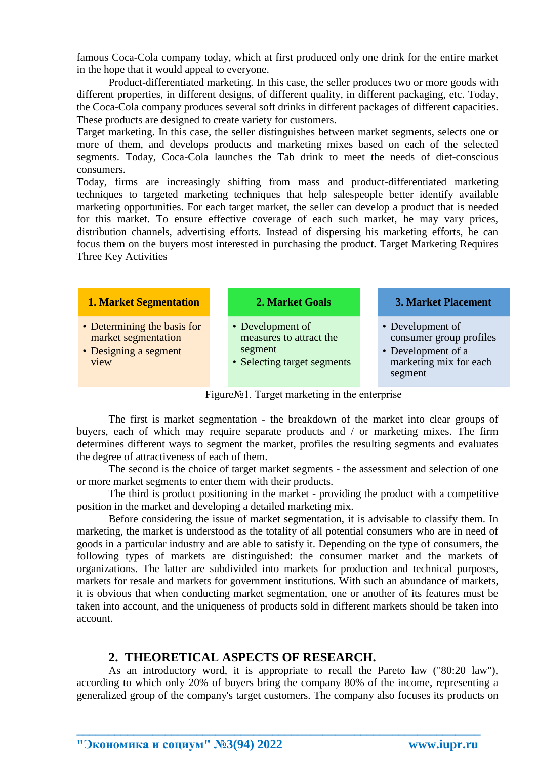famous Coca-Cola company today, which at first produced only one drink for the entire market in the hope that it would appeal to everyone.

Product-differentiated marketing. In this case, the seller produces two or more goods with different properties, in different designs, of different quality, in different packaging, etc. Today, the Coca-Cola company produces several soft drinks in different packages of different capacities. These products are designed to create variety for customers.

Target marketing. In this case, the seller distinguishes between market segments, selects one or more of them, and develops products and marketing mixes based on each of the selected segments. Today, Coca-Cola launches the Tab drink to meet the needs of diet-conscious consumers.

Today, firms are increasingly shifting from mass and product-differentiated marketing techniques to targeted marketing techniques that help salespeople better identify available marketing opportunities. For each target market, the seller can develop a product that is needed for this market. To ensure effective coverage of each such market, he may vary prices, distribution channels, advertising efforts. Instead of dispersing his marketing efforts, he can focus them on the buyers most interested in purchasing the product. Target Marketing Requires Three Key Activities

| <b>1. Market Segmentation</b>                                                       | 2. Market Goals                                                                       | <b>3. Market Placement</b>                                                                             |
|-------------------------------------------------------------------------------------|---------------------------------------------------------------------------------------|--------------------------------------------------------------------------------------------------------|
| • Determining the basis for<br>market segmentation<br>• Designing a segment<br>view | • Development of<br>measures to attract the<br>segment<br>• Selecting target segments | • Development of<br>consumer group profiles<br>• Development of a<br>marketing mix for each<br>segment |

Figure№1. Target marketing in the enterprise

The first is market segmentation - the breakdown of the market into clear groups of buyers, each of which may require separate products and / or marketing mixes. The firm determines different ways to segment the market, profiles the resulting segments and evaluates the degree of attractiveness of each of them.

The second is the choice of target market segments - the assessment and selection of one or more market segments to enter them with their products.

The third is product positioning in the market - providing the product with a competitive position in the market and developing a detailed marketing mix.

Before considering the issue of market segmentation, it is advisable to classify them. In marketing, the market is understood as the totality of all potential consumers who are in need of goods in a particular industry and are able to satisfy it. Depending on the type of consumers, the following types of markets are distinguished: the consumer market and the markets of organizations. The latter are subdivided into markets for production and technical purposes, markets for resale and markets for government institutions. With such an abundance of markets, it is obvious that when conducting market segmentation, one or another of its features must be taken into account, and the uniqueness of products sold in different markets should be taken into account.

## **2. THEORETICAL ASPECTS OF RESEARCH.**

As an introductory word, it is appropriate to recall the Pareto law ("80:20 law"), according to which only 20% of buyers bring the company 80% of the income, representing a generalized group of the company's target customers. The company also focuses its products on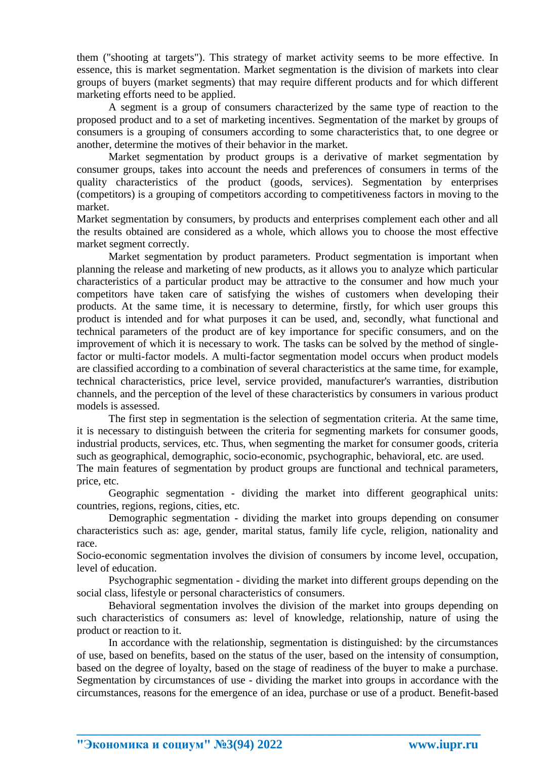them ("shooting at targets"). This strategy of market activity seems to be more effective. In essence, this is market segmentation. Market segmentation is the division of markets into clear groups of buyers (market segments) that may require different products and for which different marketing efforts need to be applied.

A segment is a group of consumers characterized by the same type of reaction to the proposed product and to a set of marketing incentives. Segmentation of the market by groups of consumers is a grouping of consumers according to some characteristics that, to one degree or another, determine the motives of their behavior in the market.

Market segmentation by product groups is a derivative of market segmentation by consumer groups, takes into account the needs and preferences of consumers in terms of the quality characteristics of the product (goods, services). Segmentation by enterprises (competitors) is a grouping of competitors according to competitiveness factors in moving to the market.

Market segmentation by consumers, by products and enterprises complement each other and all the results obtained are considered as a whole, which allows you to choose the most effective market segment correctly.

Market segmentation by product parameters. Product segmentation is important when planning the release and marketing of new products, as it allows you to analyze which particular characteristics of a particular product may be attractive to the consumer and how much your competitors have taken care of satisfying the wishes of customers when developing their products. At the same time, it is necessary to determine, firstly, for which user groups this product is intended and for what purposes it can be used, and, secondly, what functional and technical parameters of the product are of key importance for specific consumers, and on the improvement of which it is necessary to work. The tasks can be solved by the method of singlefactor or multi-factor models. A multi-factor segmentation model occurs when product models are classified according to a combination of several characteristics at the same time, for example, technical characteristics, price level, service provided, manufacturer's warranties, distribution channels, and the perception of the level of these characteristics by consumers in various product models is assessed.

The first step in segmentation is the selection of segmentation criteria. At the same time, it is necessary to distinguish between the criteria for segmenting markets for consumer goods, industrial products, services, etc. Thus, when segmenting the market for consumer goods, criteria such as geographical, demographic, socio-economic, psychographic, behavioral, etc. are used.

The main features of segmentation by product groups are functional and technical parameters, price, etc.

Geographic segmentation - dividing the market into different geographical units: countries, regions, regions, cities, etc.

Demographic segmentation - dividing the market into groups depending on consumer characteristics such as: age, gender, marital status, family life cycle, religion, nationality and race.

Socio-economic segmentation involves the division of consumers by income level, occupation, level of education.

Psychographic segmentation - dividing the market into different groups depending on the social class, lifestyle or personal characteristics of consumers.

Behavioral segmentation involves the division of the market into groups depending on such characteristics of consumers as: level of knowledge, relationship, nature of using the product or reaction to it.

In accordance with the relationship, segmentation is distinguished: by the circumstances of use, based on benefits, based on the status of the user, based on the intensity of consumption, based on the degree of loyalty, based on the stage of readiness of the buyer to make a purchase. Segmentation by circumstances of use - dividing the market into groups in accordance with the circumstances, reasons for the emergence of an idea, purchase or use of a product. Benefit-based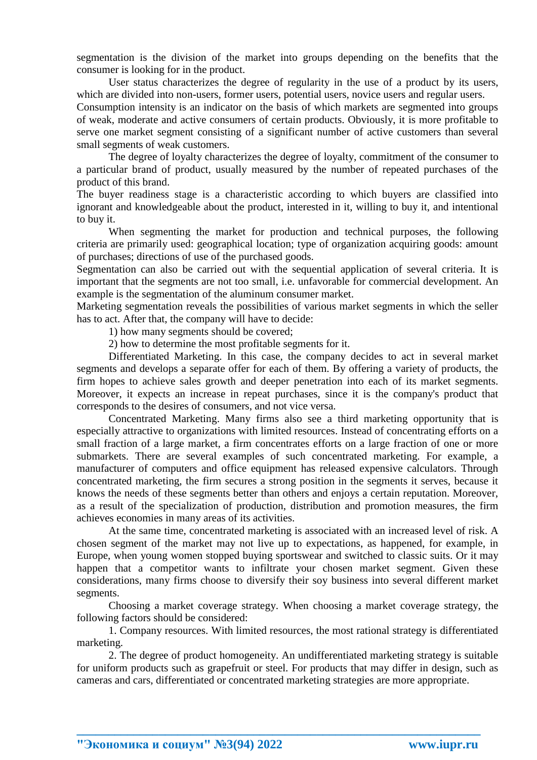segmentation is the division of the market into groups depending on the benefits that the consumer is looking for in the product.

User status characterizes the degree of regularity in the use of a product by its users, which are divided into non-users, former users, potential users, novice users and regular users.

Consumption intensity is an indicator on the basis of which markets are segmented into groups of weak, moderate and active consumers of certain products. Obviously, it is more profitable to serve one market segment consisting of a significant number of active customers than several small segments of weak customers.

The degree of loyalty characterizes the degree of loyalty, commitment of the consumer to a particular brand of product, usually measured by the number of repeated purchases of the product of this brand.

The buyer readiness stage is a characteristic according to which buyers are classified into ignorant and knowledgeable about the product, interested in it, willing to buy it, and intentional to buy it.

When segmenting the market for production and technical purposes, the following criteria are primarily used: geographical location; type of organization acquiring goods: amount of purchases; directions of use of the purchased goods.

Segmentation can also be carried out with the sequential application of several criteria. It is important that the segments are not too small, i.e. unfavorable for commercial development. An example is the segmentation of the aluminum consumer market.

Marketing segmentation reveals the possibilities of various market segments in which the seller has to act. After that, the company will have to decide:

1) how many segments should be covered;

2) how to determine the most profitable segments for it.

Differentiated Marketing. In this case, the company decides to act in several market segments and develops a separate offer for each of them. By offering a variety of products, the firm hopes to achieve sales growth and deeper penetration into each of its market segments. Moreover, it expects an increase in repeat purchases, since it is the company's product that corresponds to the desires of consumers, and not vice versa.

Concentrated Marketing. Many firms also see a third marketing opportunity that is especially attractive to organizations with limited resources. Instead of concentrating efforts on a small fraction of a large market, a firm concentrates efforts on a large fraction of one or more submarkets. There are several examples of such concentrated marketing. For example, a manufacturer of computers and office equipment has released expensive calculators. Through concentrated marketing, the firm secures a strong position in the segments it serves, because it knows the needs of these segments better than others and enjoys a certain reputation. Moreover, as a result of the specialization of production, distribution and promotion measures, the firm achieves economies in many areas of its activities.

At the same time, concentrated marketing is associated with an increased level of risk. A chosen segment of the market may not live up to expectations, as happened, for example, in Europe, when young women stopped buying sportswear and switched to classic suits. Or it may happen that a competitor wants to infiltrate your chosen market segment. Given these considerations, many firms choose to diversify their soy business into several different market segments.

Choosing a market coverage strategy. When choosing a market coverage strategy, the following factors should be considered:

1. Company resources. With limited resources, the most rational strategy is differentiated marketing.

2. The degree of product homogeneity. An undifferentiated marketing strategy is suitable for uniform products such as grapefruit or steel. For products that may differ in design, such as cameras and cars, differentiated or concentrated marketing strategies are more appropriate.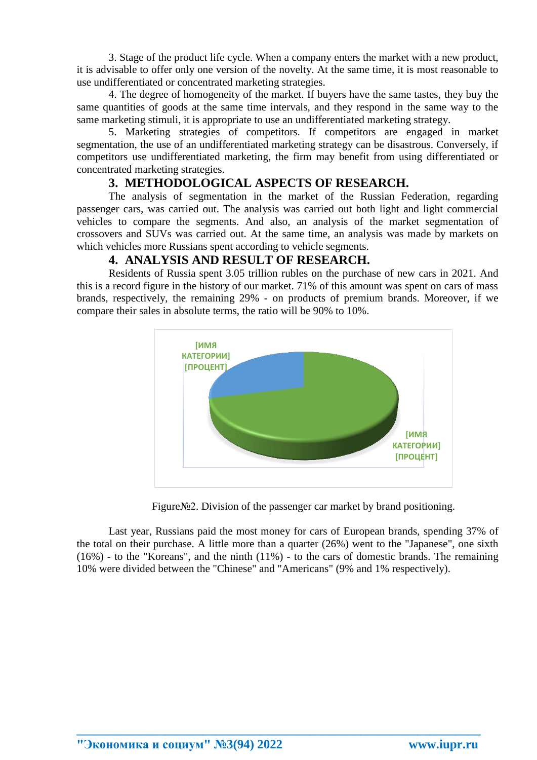3. Stage of the product life cycle. When a company enters the market with a new product, it is advisable to offer only one version of the novelty. At the same time, it is most reasonable to use undifferentiated or concentrated marketing strategies.

4. The degree of homogeneity of the market. If buyers have the same tastes, they buy the same quantities of goods at the same time intervals, and they respond in the same way to the same marketing stimuli, it is appropriate to use an undifferentiated marketing strategy.

5. Marketing strategies of competitors. If competitors are engaged in market segmentation, the use of an undifferentiated marketing strategy can be disastrous. Conversely, if competitors use undifferentiated marketing, the firm may benefit from using differentiated or concentrated marketing strategies.

### **3. METHODOLOGICAL ASPECTS OF RESEARCH.**

The analysis of segmentation in the market of the Russian Federation, regarding passenger cars, was carried out. The analysis was carried out both light and light commercial vehicles to compare the segments. And also, an analysis of the market segmentation of crossovers and SUVs was carried out. At the same time, an analysis was made by markets on which vehicles more Russians spent according to vehicle segments.

#### **4. ANALYSIS AND RESULT OF RESEARCH.**

Residents of Russia spent 3.05 trillion rubles on the purchase of new cars in 2021. And this is a record figure in the history of our market. 71% of this amount was spent on cars of mass brands, respectively, the remaining 29% - on products of premium brands. Moreover, if we compare their sales in absolute terms, the ratio will be 90% to 10%.



Figure№2. Division of the passenger car market by brand positioning.

Last year, Russians paid the most money for cars of European brands, spending 37% of the total on their purchase. A little more than a quarter (26%) went to the "Japanese", one sixth (16%) - to the "Koreans", and the ninth (11%) - to the cars of domestic brands. The remaining 10% were divided between the "Chinese" and "Americans" (9% and 1% respectively).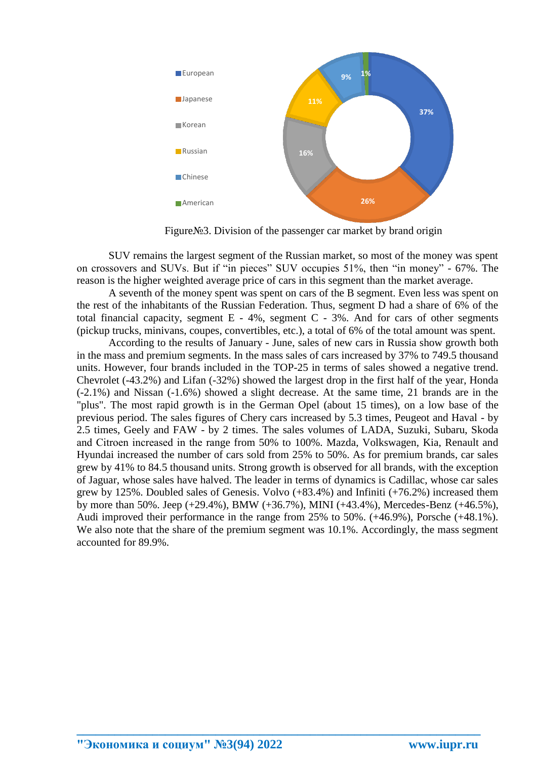

Figure№3. Division of the passenger car market by brand origin

SUV remains the largest segment of the Russian market, so most of the money was spent on crossovers and SUVs. But if "in pieces" SUV occupies 51%, then "in money" - 67%. The reason is the higher weighted average price of cars in this segment than the market average.

A seventh of the money spent was spent on cars of the B segment. Even less was spent on the rest of the inhabitants of the Russian Federation. Thus, segment D had a share of 6% of the total financial capacity, segment  $E - 4\%$ , segment  $C - 3\%$ . And for cars of other segments (pickup trucks, minivans, coupes, convertibles, etc.), a total of 6% of the total amount was spent.

According to the results of January - June, sales of new cars in Russia show growth both in the mass and premium segments. In the mass sales of cars increased by 37% to 749.5 thousand units. However, four brands included in the TOP-25 in terms of sales showed a negative trend. Chevrolet (-43.2%) and Lifan (-32%) showed the largest drop in the first half of the year, Honda (-2.1%) and Nissan (-1.6%) showed a slight decrease. At the same time, 21 brands are in the "plus". The most rapid growth is in the German Opel (about 15 times), on a low base of the previous period. The sales figures of Chery cars increased by 5.3 times, Peugeot and Haval - by 2.5 times, Geely and FAW - by 2 times. The sales volumes of LADA, Suzuki, Subaru, Skoda and Сitroen increased in the range from 50% to 100%. Mazda, Volkswagen, Kia, Renault and Hyundai increased the number of cars sold from 25% to 50%. As for premium brands, car sales grew by 41% to 84.5 thousand units. Strong growth is observed for all brands, with the exception of Jaguar, whose sales have halved. The leader in terms of dynamics is Cadillac, whose car sales grew by 125%. Doubled sales of Genesis. Volvo (+83.4%) and Infiniti (+76.2%) increased them by more than 50%. Jeep (+29.4%), BMW (+36.7%), MINI (+43.4%), Mercedes-Benz (+46.5%), Audi improved their performance in the range from 25% to 50%. (+46.9%), Porsche (+48.1%). We also note that the share of the premium segment was 10.1%. Accordingly, the mass segment accounted for 89.9%.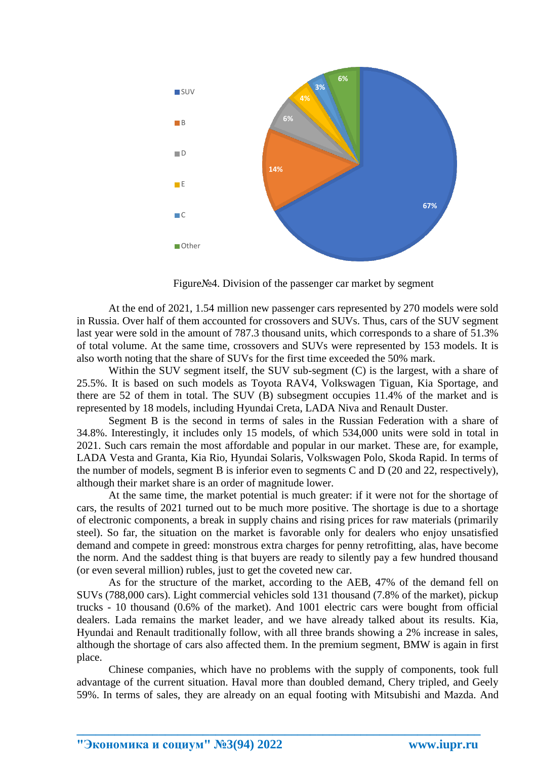

Figure№4. Division of the passenger car market by segment

At the end of 2021, 1.54 million new passenger cars represented by 270 models were sold in Russia. Over half of them accounted for crossovers and SUVs. Thus, cars of the SUV segment last year were sold in the amount of 787.3 thousand units, which corresponds to a share of 51.3% of total volume. At the same time, crossovers and SUVs were represented by 153 models. It is also worth noting that the share of SUVs for the first time exceeded the 50% mark.

Within the SUV segment itself, the SUV sub-segment (C) is the largest, with a share of 25.5%. It is based on such models as Toyota RAV4, Volkswagen Tiguan, Kia Sportage, and there are 52 of them in total. The SUV (B) subsegment occupies 11.4% of the market and is represented by 18 models, including Hyundai Creta, LADA Niva and Renault Duster.

Segment B is the second in terms of sales in the Russian Federation with a share of 34.8%. Interestingly, it includes only 15 models, of which 534,000 units were sold in total in 2021. Such cars remain the most affordable and popular in our market. These are, for example, LADA Vesta and Granta, Kia Rio, Hyundai Solaris, Volkswagen Polo, Skoda Rapid. In terms of the number of models, segment B is inferior even to segments C and D (20 and 22, respectively), although their market share is an order of magnitude lower.

At the same time, the market potential is much greater: if it were not for the shortage of cars, the results of 2021 turned out to be much more positive. The shortage is due to a shortage of electronic components, a break in supply chains and rising prices for raw materials (primarily steel). So far, the situation on the market is favorable only for dealers who enjoy unsatisfied demand and compete in greed: monstrous extra charges for penny retrofitting, alas, have become the norm. And the saddest thing is that buyers are ready to silently pay a few hundred thousand (or even several million) rubles, just to get the coveted new car.

As for the structure of the market, according to the AEB, 47% of the demand fell on SUVs (788,000 cars). Light commercial vehicles sold 131 thousand (7.8% of the market), pickup trucks - 10 thousand (0.6% of the market). And 1001 electric cars were bought from official dealers. Lada remains the market leader, and we have already talked about its results. Kia, Hyundai and Renault traditionally follow, with all three brands showing a 2% increase in sales, although the shortage of cars also affected them. In the premium segment, BMW is again in first place.

Chinese companies, which have no problems with the supply of components, took full advantage of the current situation. Haval more than doubled demand, Chery tripled, and Geely 59%. In terms of sales, they are already on an equal footing with Mitsubishi and Mazda. And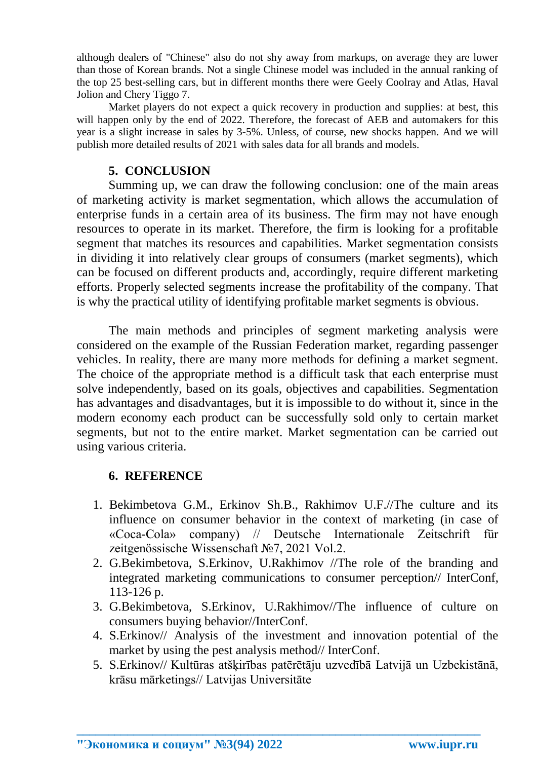although dealers of "Chinese" also do not shy away from markups, on average they are lower than those of Korean brands. Not a single Chinese model was included in the annual ranking of the top 25 best-selling cars, but in different months there were Geely Coolray and Atlas, Haval Jolion and Chery Tiggo 7.

Market players do not expect a quick recovery in production and supplies: at best, this will happen only by the end of 2022. Therefore, the forecast of AEB and automakers for this year is a slight increase in sales by 3-5%. Unless, of course, new shocks happen. And we will publish more detailed results of 2021 with sales data for all brands and models.

# **5. CONCLUSION**

Summing up, we can draw the following conclusion: one of the main areas of marketing activity is market segmentation, which allows the accumulation of enterprise funds in a certain area of its business. The firm may not have enough resources to operate in its market. Therefore, the firm is looking for a profitable segment that matches its resources and capabilities. Market segmentation consists in dividing it into relatively clear groups of consumers (market segments), which can be focused on different products and, accordingly, require different marketing efforts. Properly selected segments increase the profitability of the company. That is why the practical utility of identifying profitable market segments is obvious.

The main methods and principles of segment marketing analysis were considered on the example of the Russian Federation market, regarding passenger vehicles. In reality, there are many more methods for defining a market segment. The choice of the appropriate method is a difficult task that each enterprise must solve independently, based on its goals, objectives and capabilities. Segmentation has advantages and disadvantages, but it is impossible to do without it, since in the modern economy each product can be successfully sold only to certain market segments, but not to the entire market. Market segmentation can be carried out using various criteria.

# **6. REFERENCE**

- 1. Bekimbetova G.M., Erkinov Sh.B., Rakhimov U.F.//The culture and its influence on consumer behavior in the context of marketing (in case of «Coca-Cola» company) // Deutsche Internationale Zeitschrift für zeitgenössische Wissenschaft №7, 2021 Vol.2.
- 2. G.Bekimbetova, S.Erkinov, U.Rakhimov //The role of the branding and integrated marketing communications to consumer perception// InterConf, 113-126 p.
- 3. G.Bekimbetova, S.Erkinov, U.Rakhimov//The influence of culture on consumers buying behavior//InterConf.
- 4. S.Erkinov// Analysis of the investment and innovation potential of the market by using the pest analysis method// InterConf.
- 5. S.Erkinov// Kultūras atšķirības patērētāju uzvedībā Latvijā un Uzbekistānā, krāsu mārketings// Latvijas Universitāte